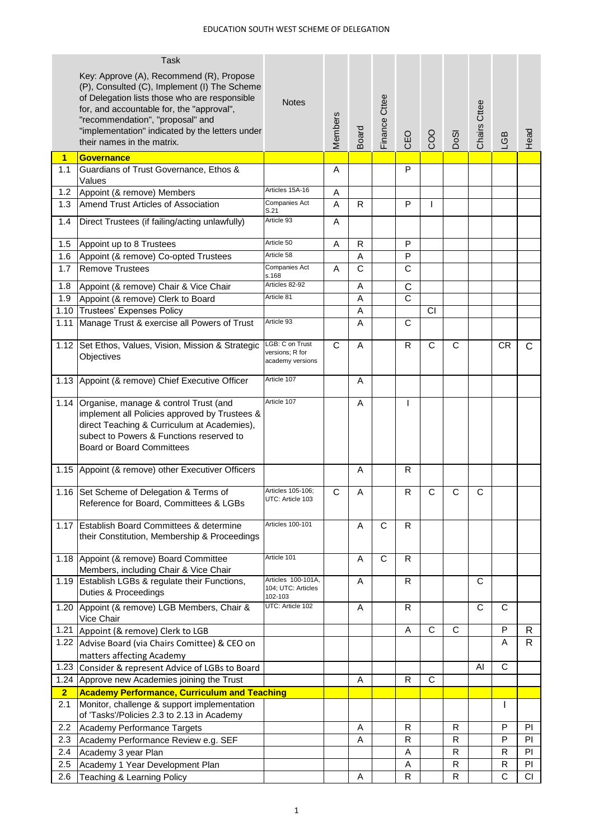|                | <b>Task</b>                                                                                                                                                                                                                                                                                                 |                                                        |                |                       |                |                       |                |             |              |           |           |
|----------------|-------------------------------------------------------------------------------------------------------------------------------------------------------------------------------------------------------------------------------------------------------------------------------------------------------------|--------------------------------------------------------|----------------|-----------------------|----------------|-----------------------|----------------|-------------|--------------|-----------|-----------|
|                | Key: Approve (A), Recommend (R), Propose<br>(P), Consulted (C), Implement (I) The Scheme<br>of Delegation lists those who are responsible<br>for, and accountable for, the "approval",<br>"recommendation", "proposal" and<br>"implementation" indicated by the letters under<br>their names in the matrix. | <b>Notes</b>                                           | <b>Members</b> | Board                 | Finance Cttee  | CEO                   | COO            | DoSI        | Chairs Cttee | LGB       | Head      |
| 1              | <b>Governance</b>                                                                                                                                                                                                                                                                                           |                                                        |                |                       |                |                       |                |             |              |           |           |
| 1.1            | Guardians of Trust Governance, Ethos &                                                                                                                                                                                                                                                                      |                                                        | A              |                       |                | P                     |                |             |              |           |           |
| 1.2            | Values<br>Appoint (& remove) Members                                                                                                                                                                                                                                                                        | Articles 15A-16                                        | Α              |                       |                |                       |                |             |              |           |           |
| 1.3            | Amend Trust Articles of Association                                                                                                                                                                                                                                                                         | Companies Act                                          | A              | R                     |                | $\mathsf{P}$          | L              |             |              |           |           |
| 1.4            | Direct Trustees (if failing/acting unlawfully)                                                                                                                                                                                                                                                              | S.21<br>Article 93                                     | Α              |                       |                |                       |                |             |              |           |           |
|                |                                                                                                                                                                                                                                                                                                             |                                                        |                |                       |                |                       |                |             |              |           |           |
| 1.5            | Appoint up to 8 Trustees                                                                                                                                                                                                                                                                                    | Article 50                                             | Α              | R                     |                | P                     |                |             |              |           |           |
| 1.6            | Appoint (& remove) Co-opted Trustees                                                                                                                                                                                                                                                                        | Article 58                                             |                | A                     |                | P                     |                |             |              |           |           |
| 1.7            | <b>Remove Trustees</b>                                                                                                                                                                                                                                                                                      | Companies Act<br>s.168                                 | A              | $\overline{\text{c}}$ |                | C                     |                |             |              |           |           |
| 1.8            | Appoint (& remove) Chair & Vice Chair                                                                                                                                                                                                                                                                       | Articles 82-92                                         |                | Α                     |                | $\mathsf{C}$          |                |             |              |           |           |
| 1.9            | Appoint (& remove) Clerk to Board                                                                                                                                                                                                                                                                           | Article 81                                             |                | A                     |                | $\overline{\text{c}}$ |                |             |              |           |           |
| 1.10           | <b>Trustees' Expenses Policy</b>                                                                                                                                                                                                                                                                            |                                                        |                | A                     |                |                       | CI             |             |              |           |           |
| 1.11           | Manage Trust & exercise all Powers of Trust                                                                                                                                                                                                                                                                 | Article 93                                             |                | A                     |                | C                     |                |             |              |           |           |
|                | 1.12 Set Ethos, Values, Vision, Mission & Strategic<br>Objectives                                                                                                                                                                                                                                           | LGB: C on Trust<br>versions; R for<br>academy versions | C              | A                     |                | R                     | $\overline{C}$ | C           |              | <b>CR</b> | C         |
|                | 1.13 Appoint (& remove) Chief Executive Officer                                                                                                                                                                                                                                                             | Article 107                                            |                | A                     |                |                       |                |             |              |           |           |
| 1.14           | Organise, manage & control Trust (and<br>implement all Policies approved by Trustees &<br>direct Teaching & Curriculum at Academies),<br>subect to Powers & Functions reserved to<br><b>Board or Board Committees</b>                                                                                       | Article 107                                            |                | A                     |                | $\mathbf{I}$          |                |             |              |           |           |
|                | 1.15 Appoint (& remove) other Executiver Officers                                                                                                                                                                                                                                                           |                                                        |                | A                     |                | $\mathsf{R}$          |                |             |              |           |           |
|                | 1.16 Set Scheme of Delegation & Terms of<br>Reference for Board, Committees & LGBs                                                                                                                                                                                                                          | Articles 105-106;<br>UTC: Article 103                  | С              | A                     |                | R                     | C              | С           | C            |           |           |
|                | 1.17 Establish Board Committees & determine<br>their Constitution, Membership & Proceedings                                                                                                                                                                                                                 | Articles 100-101                                       |                | A                     | C              | R                     |                |             |              |           |           |
|                | 1.18 Appoint (& remove) Board Committee<br>Members, including Chair & Vice Chair                                                                                                                                                                                                                            | Article 101                                            |                | A                     | $\overline{C}$ | $\mathsf{R}$          |                |             |              |           |           |
|                | 1.19 Establish LGBs & regulate their Functions,<br>Duties & Proceedings                                                                                                                                                                                                                                     | Articles 100-101A,<br>104; UTC: Articles<br>102-103    |                | A                     |                | R                     |                |             | C            |           |           |
|                | 1.20 Appoint (& remove) LGB Members, Chair &<br>Vice Chair                                                                                                                                                                                                                                                  | UTC: Article 102                                       |                | A                     |                | R                     |                |             | C            | C         |           |
|                | 1.21 Appoint (& remove) Clerk to LGB                                                                                                                                                                                                                                                                        |                                                        |                |                       |                | A                     | $\mathsf C$    | $\mathbf C$ |              | P         | R         |
|                | 1.22 Advise Board (via Chairs Comittee) & CEO on                                                                                                                                                                                                                                                            |                                                        |                |                       |                |                       |                |             |              | A         | R.        |
|                | matters affecting Academy                                                                                                                                                                                                                                                                                   |                                                        |                |                       |                |                       |                |             |              |           |           |
| 1.23           | Consider & represent Advice of LGBs to Board                                                                                                                                                                                                                                                                |                                                        |                |                       |                |                       |                |             | AI           | C         |           |
|                | 1.24 Approve new Academies joining the Trust                                                                                                                                                                                                                                                                |                                                        |                | A                     |                | R                     | $\overline{C}$ |             |              |           |           |
| $\overline{2}$ | <b>Academy Performance, Curriculum and Teaching</b>                                                                                                                                                                                                                                                         |                                                        |                |                       |                |                       |                |             |              |           |           |
| 2.1            | Monitor, challenge & support implementation<br>of 'Tasks'/Policies 2.3 to 2.13 in Academy                                                                                                                                                                                                                   |                                                        |                |                       |                |                       |                |             |              | L         |           |
| 2.2            | Academy Performance Targets                                                                                                                                                                                                                                                                                 |                                                        |                | A                     |                | R                     |                | R           |              | P         | PI        |
| 2.3            | Academy Performance Review e.g. SEF                                                                                                                                                                                                                                                                         |                                                        |                | Α                     |                | R                     |                | ${\sf R}$   |              | P         | <b>PI</b> |
| 2.4            | Academy 3 year Plan                                                                                                                                                                                                                                                                                         |                                                        |                |                       |                | Α                     |                | R           |              | R         | PI.       |
| 2.5            | Academy 1 Year Development Plan                                                                                                                                                                                                                                                                             |                                                        |                |                       |                | A                     |                | R           |              | R         | PI        |
| 2.6            | Teaching & Learning Policy                                                                                                                                                                                                                                                                                  |                                                        |                | Α                     |                | R                     |                | R           |              | C         | CI        |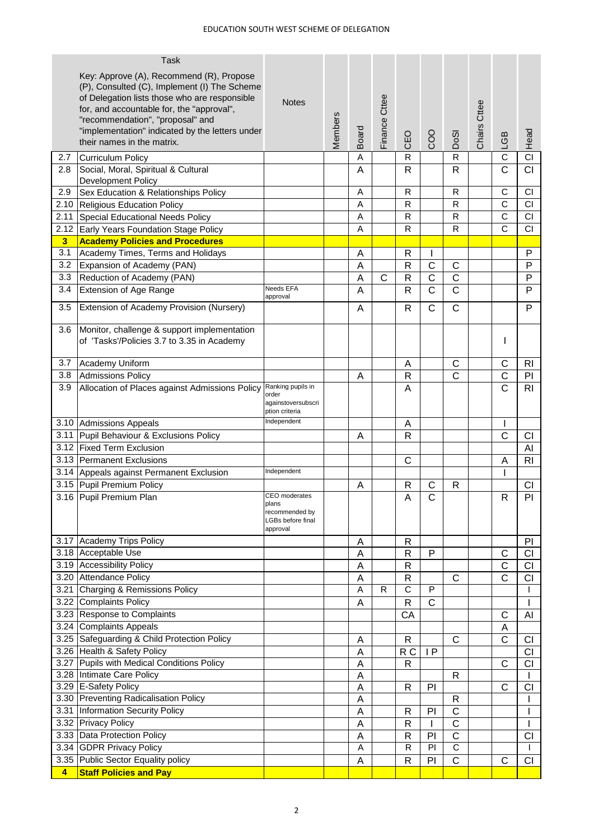|                | <b>Task</b>                                                                                                                                                                                                                                                                   |                                                                           |         |        |               |              |                       |                       |              |                |                        |
|----------------|-------------------------------------------------------------------------------------------------------------------------------------------------------------------------------------------------------------------------------------------------------------------------------|---------------------------------------------------------------------------|---------|--------|---------------|--------------|-----------------------|-----------------------|--------------|----------------|------------------------|
|                | Key: Approve (A), Recommend (R), Propose<br>(P), Consulted (C), Implement (I) The Scheme<br>of Delegation lists those who are responsible<br>for, and accountable for, the "approval",<br>"recommendation", "proposal" and<br>"implementation" indicated by the letters under | <b>Notes</b>                                                              | Members |        | Finance Cttee |              |                       |                       | Chairs Cttee |                |                        |
|                | their names in the matrix.                                                                                                                                                                                                                                                    |                                                                           |         | Board  |               | CEO          | COO                   | DoSI                  |              | LGB            | Head                   |
| 2.7            | <b>Curriculum Policy</b>                                                                                                                                                                                                                                                      |                                                                           |         | A      |               | R            |                       | $\mathsf{R}$          |              | C              | $\overline{CI}$        |
| 2.8            | Social, Moral, Spiritual & Cultural<br>Development Policy                                                                                                                                                                                                                     |                                                                           |         | A      |               | R            |                       | R                     |              | C              | <b>CI</b>              |
| 2.9            | Sex Education & Relationships Policy                                                                                                                                                                                                                                          |                                                                           |         | Α      |               | ${\sf R}$    |                       | ${\sf R}$             |              | C              | CI                     |
|                | 2.10 Religious Education Policy                                                                                                                                                                                                                                               |                                                                           |         | A      |               | R            |                       | ${\sf R}$             |              | $\mathsf{C}$   | <b>CI</b>              |
|                | 2.11 Special Educational Needs Policy                                                                                                                                                                                                                                         |                                                                           |         | A      |               | R            |                       | ${\sf R}$             |              | $\mathsf{C}$   | CI                     |
| 2.12           | Early Years Foundation Stage Policy                                                                                                                                                                                                                                           |                                                                           |         | A      |               | R            |                       | $\mathsf R$           |              | $\overline{c}$ | CI                     |
| 3              | <b>Academy Policies and Procedures</b>                                                                                                                                                                                                                                        |                                                                           |         |        |               |              |                       |                       |              |                |                        |
| 3.1            | Academy Times, Terms and Holidays                                                                                                                                                                                                                                             |                                                                           |         | Α      |               | $\mathsf{R}$ |                       |                       |              |                | P                      |
| 3.2            | Expansion of Academy (PAN)                                                                                                                                                                                                                                                    |                                                                           |         | A      |               | $\mathsf{R}$ | C                     | $\mathsf C$           |              |                | P                      |
| 3.3            | Reduction of Academy (PAN)                                                                                                                                                                                                                                                    | Needs EFA                                                                 |         | A      | С             | R            | C                     | $\mathsf C$           |              |                | P                      |
| 3.4            | Extension of Age Range                                                                                                                                                                                                                                                        | approval                                                                  |         | A      |               | $\mathsf{R}$ | $\overline{\text{c}}$ | $\overline{\text{c}}$ |              |                | P                      |
| 3.5            | Extension of Academy Provision (Nursery)                                                                                                                                                                                                                                      |                                                                           |         | A      |               | R            | C                     | $\mathsf{C}$          |              |                | P                      |
| 3.6            | Monitor, challenge & support implementation<br>of 'Tasks'/Policies 3.7 to 3.35 in Academy                                                                                                                                                                                     |                                                                           |         |        |               |              |                       |                       |              | I              |                        |
|                | 3.7 Academy Uniform                                                                                                                                                                                                                                                           |                                                                           |         |        |               | A            |                       | C                     |              | C              | R <sub>l</sub>         |
| 3.8            | <b>Admissions Policy</b>                                                                                                                                                                                                                                                      |                                                                           |         | Α      |               | $\mathsf{R}$ |                       | C                     |              | C              | PI                     |
| 3.9            | Allocation of Places against Admissions Policy                                                                                                                                                                                                                                | Ranking pupils in<br>order<br>againstoversubscri<br>ption criteria        |         |        |               | A            |                       |                       |              | $\mathsf{C}$   | R <sub>l</sub>         |
|                | 3.10 Admissions Appeals                                                                                                                                                                                                                                                       | Independent                                                               |         |        |               | A            |                       |                       |              | L              |                        |
|                | 3.11 Pupil Behaviour & Exclusions Policy                                                                                                                                                                                                                                      |                                                                           |         | Α      |               | $\mathsf{R}$ |                       |                       |              | C              | <b>CI</b>              |
|                | 3.12 Fixed Term Exclusion                                                                                                                                                                                                                                                     |                                                                           |         |        |               |              |                       |                       |              |                | AI                     |
|                | 3.13 Permanent Exclusions                                                                                                                                                                                                                                                     |                                                                           |         |        |               | C            |                       |                       |              | Α              | R <sub>l</sub>         |
|                | 3.14 Appeals against Permanent Exclusion                                                                                                                                                                                                                                      | Independent                                                               |         |        |               |              |                       |                       |              |                |                        |
|                | 3.15 Pupil Premium Policy                                                                                                                                                                                                                                                     |                                                                           |         | Α      |               | R            | C                     | R                     |              |                | CI                     |
|                | 3.16 Pupil Premium Plan                                                                                                                                                                                                                                                       | CEO moderates<br>plans<br>recommended by<br>LGBs before final<br>approval |         |        |               | A            | $\mathsf{C}$          |                       |              | R              | PI                     |
|                | 3.17 Academy Trips Policy                                                                                                                                                                                                                                                     |                                                                           |         | A      |               | R            |                       |                       |              |                | PI                     |
|                | 3.18 Acceptable Use                                                                                                                                                                                                                                                           |                                                                           |         | A      |               | R            | P                     |                       |              | C              | CI                     |
|                | 3.19 Accessibility Policy                                                                                                                                                                                                                                                     |                                                                           |         | Α      |               | R            |                       |                       |              | $\mathsf{C}$   | CI                     |
|                | 3.20 Attendance Policy                                                                                                                                                                                                                                                        |                                                                           |         | A      |               | $\mathsf{R}$ |                       | $\mathsf{C}$          |              | $\mathsf{C}$   | CI                     |
|                | 3.21 Charging & Remissions Policy                                                                                                                                                                                                                                             |                                                                           |         | A      | R             | C            | P                     |                       |              |                | I.                     |
|                | 3.22 Complaints Policy                                                                                                                                                                                                                                                        |                                                                           |         | A      |               | $\mathsf{R}$ | $\mathsf{C}$          |                       |              |                | T                      |
|                | 3.23 Response to Complaints                                                                                                                                                                                                                                                   |                                                                           |         |        |               | CA           |                       |                       |              | C              | AI                     |
|                | 3.24 Complaints Appeals                                                                                                                                                                                                                                                       |                                                                           |         |        |               |              |                       |                       |              | A              |                        |
|                | 3.25 Safeguarding & Child Protection Policy<br>3.26 Health & Safety Policy                                                                                                                                                                                                    |                                                                           |         | Α      |               | R            | IP                    | $\mathsf{C}$          |              | C              | <b>CI</b>              |
|                | 3.27 Pupils with Medical Conditions Policy                                                                                                                                                                                                                                    |                                                                           |         | A<br>A |               | R C<br>R     |                       |                       |              | C              | <b>CI</b><br><b>CI</b> |
|                | 3.28 Intimate Care Policy                                                                                                                                                                                                                                                     |                                                                           |         | A      |               |              |                       | R                     |              |                |                        |
|                | 3.29 E-Safety Policy                                                                                                                                                                                                                                                          |                                                                           |         | A      |               | $\mathsf{R}$ | PI                    |                       |              | $\mathsf{C}$   | CI                     |
|                | 3.30 Preventing Radicalisation Policy                                                                                                                                                                                                                                         |                                                                           |         | A      |               |              |                       | $\mathsf{R}$          |              |                |                        |
|                | 3.31 Information Security Policy                                                                                                                                                                                                                                              |                                                                           |         | A      |               | R            | PI                    | $\mathsf C$           |              |                | ı                      |
|                | 3.32 Privacy Policy                                                                                                                                                                                                                                                           |                                                                           |         | A      |               | $\mathsf{R}$ |                       | $\overline{\text{c}}$ |              |                | T                      |
|                | 3.33 Data Protection Policy                                                                                                                                                                                                                                                   |                                                                           |         | A      |               | R            | PI                    | C                     |              |                | <b>CI</b>              |
|                | 3.34 GDPR Privacy Policy                                                                                                                                                                                                                                                      |                                                                           |         | A      |               | R            | PI                    | C                     |              |                | I.                     |
|                | 3.35 Public Sector Equality policy                                                                                                                                                                                                                                            |                                                                           |         | A      |               | $\mathsf{R}$ | PI                    | $\mathsf{C}$          |              | $\mathsf{C}$   | <b>CI</b>              |
| $\overline{4}$ | <b>Staff Policies and Pay</b>                                                                                                                                                                                                                                                 |                                                                           |         |        |               |              |                       |                       |              |                |                        |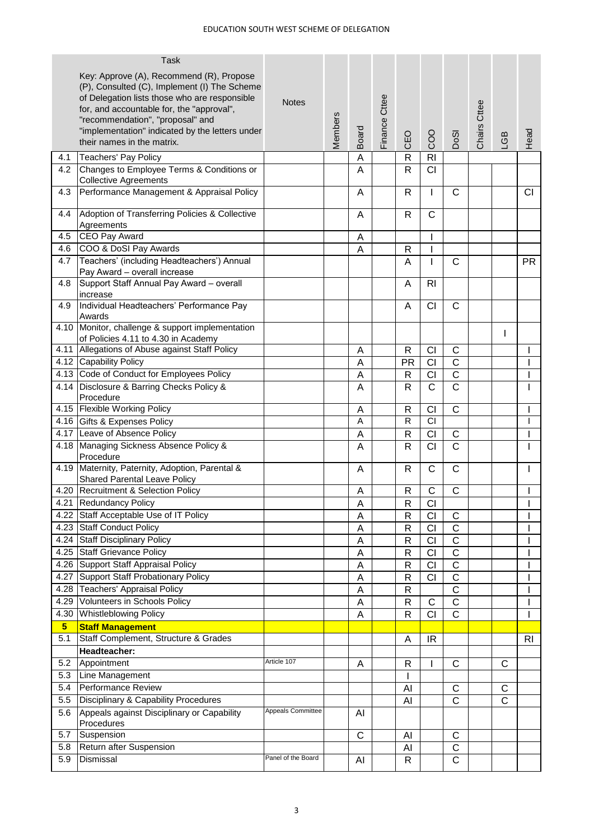|                | <b>Task</b>                                                                   |                    |                |              |               |                |                       |                       |              |                  |                |
|----------------|-------------------------------------------------------------------------------|--------------------|----------------|--------------|---------------|----------------|-----------------------|-----------------------|--------------|------------------|----------------|
|                | Key: Approve (A), Recommend (R), Propose                                      |                    |                |              |               |                |                       |                       |              |                  |                |
|                | (P), Consulted (C), Implement (I) The Scheme                                  |                    |                |              |               |                |                       |                       |              |                  |                |
|                | of Delegation lists those who are responsible                                 | <b>Notes</b>       |                |              |               |                |                       |                       |              |                  |                |
|                | for, and accountable for, the "approval",                                     |                    |                |              |               |                |                       |                       |              |                  |                |
|                | "recommendation", "proposal" and                                              |                    | <b>Members</b> |              | Finance Cttee |                |                       |                       | Chairs Cttee |                  |                |
|                | "implementation" indicated by the letters under<br>their names in the matrix. |                    |                | <b>Board</b> |               | CEO            | COO                   | DoSI                  |              | GB               | Head           |
|                |                                                                               |                    |                |              |               |                |                       |                       |              |                  |                |
| 4.1            | Teachers' Pay Policy                                                          |                    |                | Α            |               | $\mathsf{R}$   | R <sub>l</sub>        |                       |              |                  |                |
| 4.2            | Changes to Employee Terms & Conditions or<br><b>Collective Agreements</b>     |                    |                | A            |               | $\mathsf{R}$   | CI                    |                       |              |                  |                |
| 4.3            | Performance Management & Appraisal Policy                                     |                    |                | Α            |               | $\mathsf{R}$   | ı                     | $\mathsf{C}$          |              |                  | CI             |
|                |                                                                               |                    |                |              |               |                |                       |                       |              |                  |                |
| 4.4            | Adoption of Transferring Policies & Collective                                |                    |                | A            |               | R              | C                     |                       |              |                  |                |
| 4.5            | Agreements<br>CEO Pay Award                                                   |                    |                |              |               |                |                       |                       |              |                  |                |
| 4.6            | COO & DoSI Pay Awards                                                         |                    |                | Α<br>A       |               | $\mathsf{R}$   | I                     |                       |              |                  |                |
| 4.7            | Teachers' (including Headteachers') Annual                                    |                    |                |              |               |                | I                     | $\mathsf{C}$          |              |                  |                |
|                | Pay Award - overall increase                                                  |                    |                |              |               | A              |                       |                       |              |                  | <b>PR</b>      |
| 4.8            | Support Staff Annual Pay Award - overall                                      |                    |                |              |               | A              | R <sub>l</sub>        |                       |              |                  |                |
|                | increase                                                                      |                    |                |              |               |                |                       |                       |              |                  |                |
| 4.9            | Individual Headteachers' Performance Pay<br>Awards                            |                    |                |              |               | A              | CI                    | $\mathsf{C}$          |              |                  |                |
|                | 4.10 Monitor, challenge & support implementation                              |                    |                |              |               |                |                       |                       |              | L                |                |
|                | of Policies 4.11 to 4.30 in Academy                                           |                    |                |              |               |                |                       |                       |              |                  |                |
|                | 4.11 Allegations of Abuse against Staff Policy                                |                    |                | Α            |               | R              | CI                    | C                     |              |                  |                |
|                | 4.12 Capability Policy                                                        |                    |                | A            |               | <b>PR</b>      | CI                    | $\mathsf C$           |              |                  |                |
|                | 4.13 Code of Conduct for Employees Policy                                     |                    |                | A            |               | $\mathsf{R}$   | CI                    | $\mathsf C$           |              |                  |                |
|                | 4.14 Disclosure & Barring Checks Policy &<br>Procedure                        |                    |                | A            |               | R              | $\overline{\text{c}}$ | $\overline{C}$        |              |                  |                |
|                | 4.15 Flexible Working Policy                                                  |                    |                | A            |               | $\mathsf{R}$   | CI                    | $\mathbf C$           |              |                  |                |
|                | 4.16 Gifts & Expenses Policy                                                  |                    |                | A            |               | $\mathsf{R}$   | <b>CI</b>             |                       |              |                  |                |
|                | 4.17 Leave of Absence Policy                                                  |                    |                | A            |               | $\mathsf{R}$   | CI                    | $\mathbf C$           |              |                  |                |
|                | 4.18 Managing Sickness Absence Policy &<br>Procedure                          |                    |                | Α            |               | R              | CI                    | $\mathsf{C}$          |              |                  |                |
|                | 4.19 Maternity, Paternity, Adoption, Parental &                               |                    |                | A            |               | R              | $\mathsf C$           | $\mathsf C$           |              |                  |                |
|                | <b>Shared Parental Leave Policy</b>                                           |                    |                |              |               |                |                       |                       |              |                  |                |
|                | 4.20 Recruitment & Selection Policy                                           |                    |                | A            |               | $\mathsf{R}$   | C                     | $\mathsf C$           |              |                  |                |
|                | 4.21 Redundancy Policy                                                        |                    |                | A            |               | R              | CI                    |                       |              |                  |                |
|                | 4.22 Staff Acceptable Use of IT Policy                                        |                    |                | A            |               | ${\sf R}$      | CI                    | $\mathsf C$           |              |                  |                |
|                | 4.23 Staff Conduct Policy                                                     |                    |                | A            |               | $\mathsf{R}$   | CI                    | C                     |              |                  |                |
|                | 4.24 Staff Disciplinary Policy                                                |                    |                | A            |               | $\mathsf{R}$   | CI                    | $\mathsf C$           |              |                  |                |
|                | 4.25 Staff Grievance Policy                                                   |                    |                | A            |               | R              | CI                    | $\mathsf C$           |              |                  |                |
|                | 4.26 Support Staff Appraisal Policy                                           |                    |                | A            |               | $\mathsf{R}$   | CI                    | $\mathsf C$           |              |                  |                |
|                | 4.27 Support Staff Probationary Policy                                        |                    |                | A            |               | $\mathsf{R}$   | CI                    | $\mathsf C$           |              |                  |                |
|                | 4.28 Teachers' Appraisal Policy                                               |                    |                | A            |               | $\mathsf{R}$   |                       | $\overline{\text{c}}$ |              |                  |                |
|                | 4.29 Volunteers in Schools Policy                                             |                    |                | A            |               | $\mathsf{R}$   | $\mathsf C$           | $\mathsf C$           |              |                  |                |
|                | 4.30 Whistleblowing Policy                                                    |                    |                | A            |               | $\mathsf{R}$   | $\overline{CI}$       | $\overline{C}$        |              |                  |                |
| 5 <sub>5</sub> | <b>Staff Management</b>                                                       |                    |                |              |               |                |                       |                       |              |                  |                |
| 5.1            | Staff Complement, Structure & Grades                                          |                    |                |              |               | $\overline{A}$ | <b>IR</b>             |                       |              |                  | R <sub>l</sub> |
|                | Headteacher:                                                                  | Article 107        |                |              |               |                |                       |                       |              |                  |                |
| 5.2<br>5.3     | Appointment                                                                   |                    |                | A            |               | R              |                       | C                     |              | C                |                |
|                | Line Management                                                               |                    |                |              |               |                |                       |                       |              |                  |                |
| 5.4            | Performance Review                                                            |                    |                |              |               | Al             |                       | $\mathbf C$           |              | С<br>$\mathsf C$ |                |
| 5.5            | Disciplinary & Capability Procedures                                          | Appeals Committee  |                |              |               | Al             |                       | $\mathsf C$           |              |                  |                |
| 5.6            | Appeals against Disciplinary or Capability<br>Procedures                      |                    |                | AI           |               |                |                       |                       |              |                  |                |
| 5.7            | Suspension                                                                    |                    |                | C            |               | AI             |                       | C                     |              |                  |                |
| 5.8            | Return after Suspension                                                       |                    |                |              |               | AI             |                       | $\mathsf C$           |              |                  |                |
| 5.9            | Dismissal                                                                     | Panel of the Board |                | AI           |               | R              |                       | $\mathsf{C}$          |              |                  |                |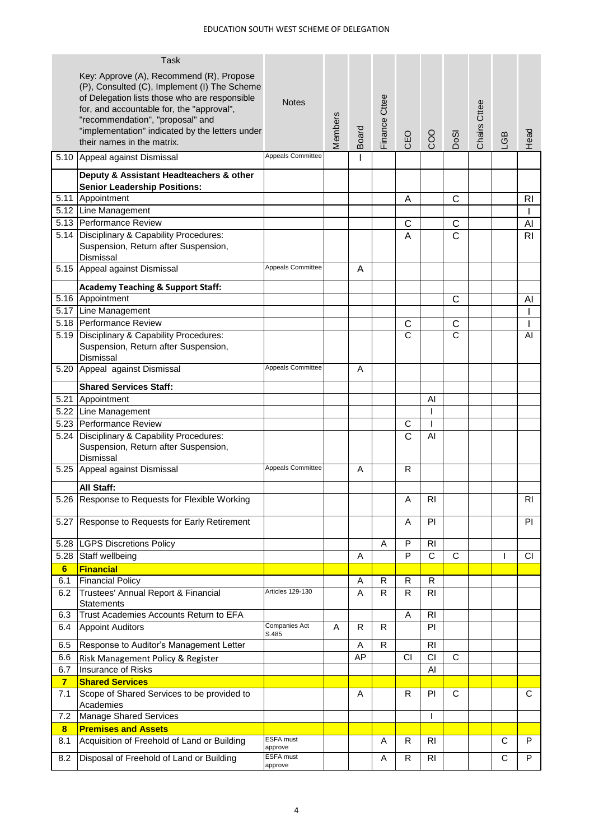|                       | <b>Task</b><br>Key: Approve (A), Recommend (R), Propose<br>(P), Consulted (C), Implement (I) The Scheme<br>of Delegation lists those who are responsible<br>for, and accountable for, the "approval",<br>"recommendation", "proposal" and<br>"implementation" indicated by the letters under<br>their names in the matrix. | <b>Notes</b>                    | Members | Board   | Finance Cttee | CEO | COO                  | DoSI         | Chairs Cttee | LGB | Head           |
|-----------------------|----------------------------------------------------------------------------------------------------------------------------------------------------------------------------------------------------------------------------------------------------------------------------------------------------------------------------|---------------------------------|---------|---------|---------------|-----|----------------------|--------------|--------------|-----|----------------|
|                       | 5.10 Appeal against Dismissal                                                                                                                                                                                                                                                                                              | Appeals Committee               |         |         |               |     |                      |              |              |     |                |
|                       | Deputy & Assistant Headteachers & other                                                                                                                                                                                                                                                                                    |                                 |         |         |               |     |                      |              |              |     |                |
|                       | <b>Senior Leadership Positions:</b>                                                                                                                                                                                                                                                                                        |                                 |         |         |               |     |                      |              |              |     |                |
|                       | 5.11 Appointment                                                                                                                                                                                                                                                                                                           |                                 |         |         |               | Α   |                      | С            |              |     | RI             |
|                       | 5.12 Line Management                                                                                                                                                                                                                                                                                                       |                                 |         |         |               |     |                      |              |              |     |                |
|                       | 5.13 Performance Review                                                                                                                                                                                                                                                                                                    |                                 |         |         |               | С   |                      | C            |              |     | Al             |
|                       | 5.14 Disciplinary & Capability Procedures:<br>Suspension, Return after Suspension,<br>Dismissal                                                                                                                                                                                                                            |                                 |         |         |               | A   |                      | C            |              |     | R <sub>l</sub> |
|                       | 5.15 Appeal against Dismissal                                                                                                                                                                                                                                                                                              | <b>Appeals Committee</b>        |         | A       |               |     |                      |              |              |     |                |
|                       | <b>Academy Teaching &amp; Support Staff:</b>                                                                                                                                                                                                                                                                               |                                 |         |         |               |     |                      |              |              |     |                |
|                       | 5.16 Appointment                                                                                                                                                                                                                                                                                                           |                                 |         |         |               |     |                      | C            |              |     | AI             |
|                       | 5.17 Line Management                                                                                                                                                                                                                                                                                                       |                                 |         |         |               |     |                      |              |              |     |                |
|                       | 5.18 Performance Review                                                                                                                                                                                                                                                                                                    |                                 |         |         |               | C   |                      | C            |              |     |                |
| 5.19                  | Disciplinary & Capability Procedures:<br>Suspension, Return after Suspension,<br>Dismissal                                                                                                                                                                                                                                 |                                 |         |         |               | C   |                      | C            |              |     | AI             |
| 5.20                  | Appeal against Dismissal                                                                                                                                                                                                                                                                                                   | <b>Appeals Committee</b>        |         | A       |               |     |                      |              |              |     |                |
|                       | <b>Shared Services Staff:</b>                                                                                                                                                                                                                                                                                              |                                 |         |         |               |     |                      |              |              |     |                |
|                       | 5.21 Appointment                                                                                                                                                                                                                                                                                                           |                                 |         |         |               |     | Al                   |              |              |     |                |
|                       | 5.22 Line Management                                                                                                                                                                                                                                                                                                       |                                 |         |         |               |     |                      |              |              |     |                |
| 5.23                  | Performance Review                                                                                                                                                                                                                                                                                                         |                                 |         |         |               | C   |                      |              |              |     |                |
| 5.24                  | Disciplinary & Capability Procedures:<br>Suspension, Return after Suspension,<br>Dismissal                                                                                                                                                                                                                                 |                                 |         |         |               | C   | AI                   |              |              |     |                |
| 5.25                  | Appeal against Dismissal                                                                                                                                                                                                                                                                                                   | <b>Appeals Committee</b>        |         | A       |               | R   |                      |              |              |     |                |
|                       | All Staff:                                                                                                                                                                                                                                                                                                                 |                                 |         |         |               |     |                      |              |              |     |                |
|                       | 5.26 Response to Requests for Flexible Working                                                                                                                                                                                                                                                                             |                                 |         |         |               | Α   | R <sub>l</sub>       |              |              |     | $\overline{R}$ |
| 5.27                  | Response to Requests for Early Retirement                                                                                                                                                                                                                                                                                  |                                 |         |         |               | Α   | PI                   |              |              |     | PI             |
|                       | 5.28  LGPS Discretions Policy                                                                                                                                                                                                                                                                                              |                                 |         |         | A             | P   | <b>RI</b>            |              |              |     |                |
| 5.28                  | Staff wellbeing                                                                                                                                                                                                                                                                                                            |                                 |         | Α       |               | P   | $\overline{C}$       | $\mathbf C$  |              |     | <b>CI</b>      |
| 6                     | <b>Financial</b>                                                                                                                                                                                                                                                                                                           |                                 |         |         |               |     |                      |              |              |     |                |
| 6.1                   | <b>Financial Policy</b>                                                                                                                                                                                                                                                                                                    |                                 |         | Α       | R             | R   | R                    |              |              |     |                |
| 6.2                   | Trustees' Annual Report & Financial<br><b>Statements</b><br>Trust Academies Accounts Return to EFA                                                                                                                                                                                                                         | <b>Articles 129-130</b>         |         | A       | R.            | R   | RI                   |              |              |     |                |
| 6.3<br>6.4            | <b>Appoint Auditors</b>                                                                                                                                                                                                                                                                                                    | <b>Companies Act</b>            | A       | R       | R             | A   | R <sub>l</sub><br>PI |              |              |     |                |
|                       |                                                                                                                                                                                                                                                                                                                            | S.485                           |         |         |               |     |                      |              |              |     |                |
| 6.5                   | Response to Auditor's Management Letter                                                                                                                                                                                                                                                                                    |                                 |         | A<br>AP | R             |     | RI<br>CI             | $\mathsf{C}$ |              |     |                |
| 6.6                   | Risk Management Policy & Register                                                                                                                                                                                                                                                                                          |                                 |         |         |               | CI  |                      |              |              |     |                |
| 6.7<br>$\overline{7}$ | Insurance of Risks<br><b>Shared Services</b>                                                                                                                                                                                                                                                                               |                                 |         |         |               |     | Al                   |              |              |     |                |
| 7.1                   | Scope of Shared Services to be provided to<br>Academies                                                                                                                                                                                                                                                                    |                                 |         | Α       |               | R   | PI                   | C            |              |     | C              |
| 7.2                   | <b>Manage Shared Services</b>                                                                                                                                                                                                                                                                                              |                                 |         |         |               |     | L                    |              |              |     |                |
| $\bf{8}$              | <b>Premises and Assets</b>                                                                                                                                                                                                                                                                                                 |                                 |         |         |               |     |                      |              |              |     |                |
| 8.1                   | Acquisition of Freehold of Land or Building                                                                                                                                                                                                                                                                                | ESFA must                       |         |         | A             | R   | RI                   |              |              | C   | P              |
| 8.2                   | Disposal of Freehold of Land or Building                                                                                                                                                                                                                                                                                   | approve<br>ESFA must<br>approve |         |         | Α             | R.  | R <sub>l</sub>       |              |              | C   | P              |